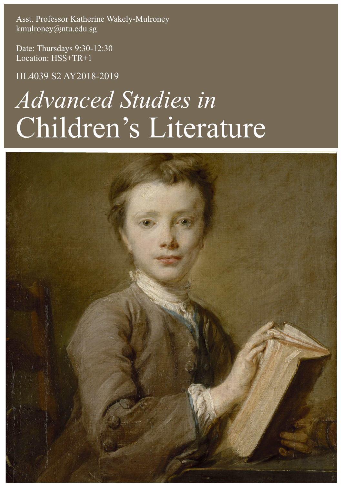Asst. Professor Katherine Wakely-Mulroney kmulroney@ntu.edu.sg

Date: Thursdays 9:30-12:30 Location: HSS+TR+1

HL4039 S2 AY2018-2019

# *Advanced Studies in*  Children's Literature

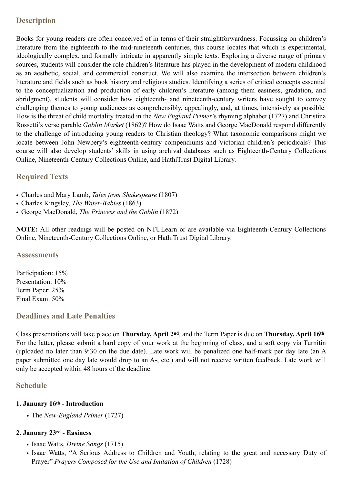## **Description**

Books for young readers are often conceived of in terms of their straightforwardness. Focussing on children's literature from the eighteenth to the mid-nineteenth centuries, this course locates that which is experimental, ideologically complex, and formally intricate in apparently simple texts. Exploring a diverse range of primary sources, students will consider the role children's literature has played in the development of modern childhood as an aesthetic, social, and commercial construct. We will also examine the intersection between children's literature and fields such as book history and religious studies. Identifying a series of critical concepts essential to the conceptualization and production of early children's literature (among them easiness, gradation, and abridgment), students will consider how eighteenth- and nineteenth-century writers have sought to convey challenging themes to young audiences as comprehensibly, appealingly, and, at times, intensively as possible. How is the threat of child mortality treated in the *New England Primer*'s rhyming alphabet (1727) and Christina Rossetti's verse parable *Goblin Market* (1862)? How do Isaac Watts and George MacDonald respond differently to the challenge of introducing young readers to Christian theology? What taxonomic comparisons might we locate between John Newbery's eighteenth-century compendiums and Victorian children's periodicals? This course will also develop students' skills in using archival databases such as Eighteenth-Century Collections Online, Nineteenth-Century Collections Online, and HathiTrust Digital Library.

# **Required Texts**

- Charles and Mary Lamb, *Tales from Shakespeare* (1807)
- Charles Kingsley, *The Water-Babies* (1863)
- George MacDonald, *The Princess and the Goblin* (1872)

**NOTE:** All other readings will be posted on NTULearn or are available via Eighteenth-Century Collections Online, Nineteenth-Century Collections Online, or HathiTrust Digital Library.

#### **Assessments**

Participation: 15% Presentation:  $10\%$ Term Paper: 25% Final Exam: 50%

## **Deadlines and Late Penalties**

Class presentations will take place on **Thursday, April 2nd**, and the Term Paper is due on **Thursday, April 16th**. For the latter, please submit a hard copy of your work at the beginning of class, and a soft copy via Turnitin (uploaded no later than 9:30 on the due date). Late work will be penalized one half-mark per day late (an A paper submitted one day late would drop to an A-, etc.) and will not receive written feedback. Late work will only be accepted within 48 hours of the deadline.

## **Schedule**

## **1. January 16th - Introduction**

*•* The *New-England Primer* (1727)

## **2. January 23rd - Easiness**

- Isaac Watts, *Divine Songs* (1715)
- Isaac Watts, "A Serious Address to Children and Youth, relating to the great and necessary Duty of Prayer" *Prayers Composed for the Use and Imitation of Children* (1728)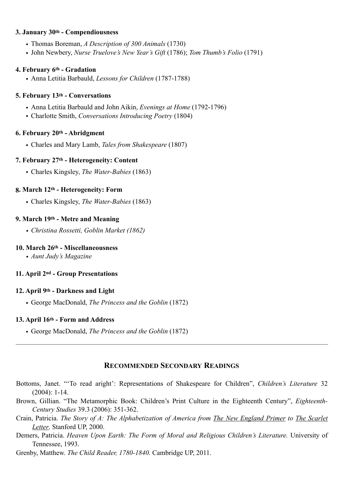#### **3. January 30th - Compendiousness**

- Thomas Boreman, *A Description of 300 Animals* (1730)
- John Newbery, *Nurse Truelove's New Year's Gift* (1786); *Tom Thumb's Folio* (1791)

#### **4. February 6th - Gradation**

• Anna Letitia Barbauld, *Lessons for Children* (1787-1788)

#### **5. February 13th - Conversations**

- Anna Letitia Barbauld and John Aikin, *Evenings at Home* (1792-1796)
- Charlotte Smith, *Conversations Introducing Poetry* (1804)

#### **6. February 20th - Abridgment**

• Charles and Mary Lamb, *Tales from Shakespeare* (1807)

#### **7. February 27th - Heterogeneity: Content**

• Charles Kingsley, *The Water-Babies* (1863)

#### **8. March 12th - Heterogeneity: Form**

• Charles Kingsley, *The Water-Babies* (1863)

#### **9. March 19th - Metre and Meaning**

*• Christina Rossetti, Goblin Market (1862)*

#### **10. March 26th - Miscellaneousness**

*• Aunt Judy's Magazine* 

#### **11. April 2nd - Group Presentations**

#### **12. April 9th - Darkness and Light**

• George MacDonald, *The Princess and the Goblin* (1872)

#### **13. April 16th - Form and Address**

• George MacDonald, *The Princess and the Goblin* (1872)

#### **RECOMMENDED SECONDARY READINGS**

- Bottoms, Janet. "'To read aright': Representations of Shakespeare for Children", *Children's Literature* 32 (2004): 1-14.
- Brown, Gillian. "The Metamorphic Book: Children's Print Culture in the Eighteenth Century", *Eighteenth-Century Studies* 39.3 (2006): 351-362.
- Crain, Patricia. *The Story of A: The Alphabetization of America from The New England Primer to The Scarlet Letter*. Stanford UP, 2000.
- Demers, Patricia. *Heaven Upon Earth: The Form of Moral and Religious Children's Literature*. University of Tennessee, 1993.

Grenby, Matthew. *The Child Reader, 1780-1840.* Cambridge UP, 2011.